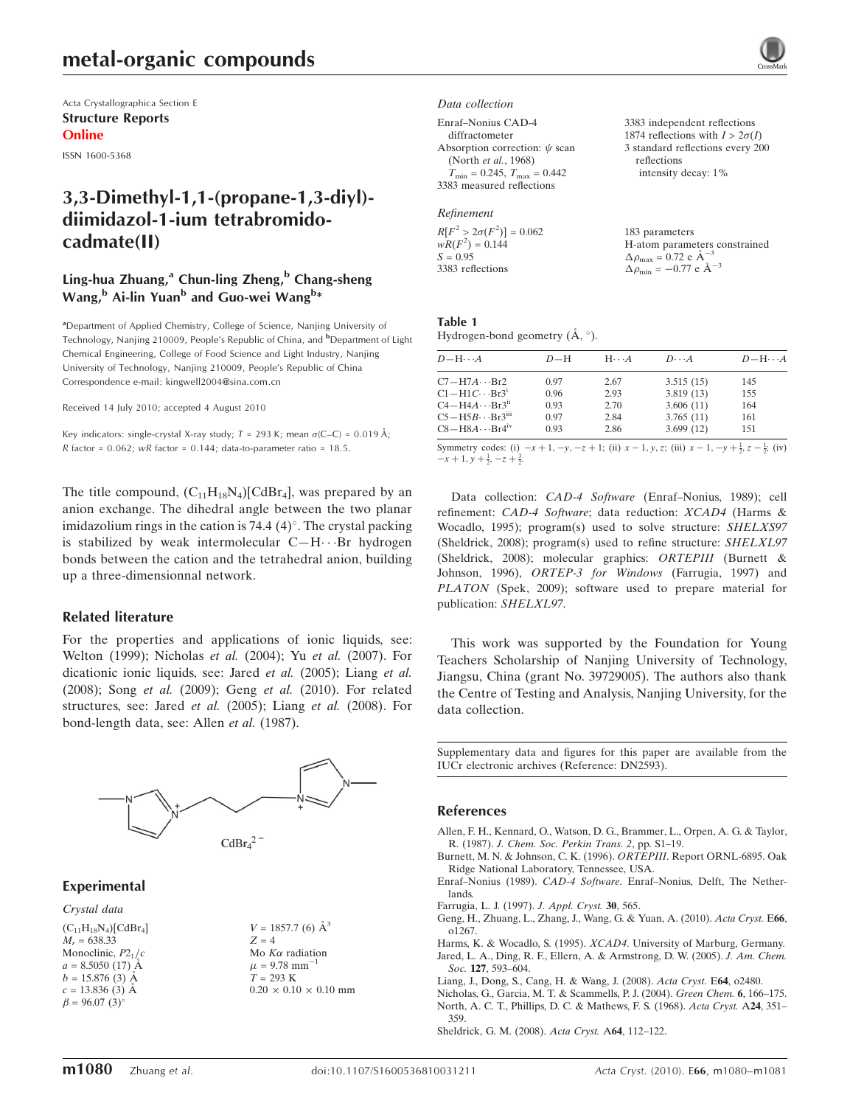## metal-organic compounds

Acta Crystallographica Section E Structure Reports Online

ISSN 1600-5368

## 3,3-Dimethyl-1,1-(propane-1,3-diyl) diimidazol-1-ium tetrabromidocadmate(II)

### Ling-hua Zhuang, $^{\rm a}$  Chun-ling Zheng, $^{\rm b}$  Chang-sheng Wang,<sup>b</sup> Ai-lin Yuan<sup>b</sup> and Guo-wei Wang<sup>b</sup>\*

<sup>a</sup>Department of Applied Chemistry, College of Science, Nanjing University of Technology, Nanjing 210009, People's Republic of China, and <sup>b</sup>Department of Light Chemical Engineering, College of Food Science and Light Industry, Nanjing University of Technology, Nanjing 210009, People's Republic of China Correspondence e-mail: kingwell2004@sina.com.cn

Received 14 July 2010; accepted 4 August 2010

Key indicators: single-crystal X-ray study;  $T = 293$  K; mean  $\sigma$ (C–C) = 0.019 Å; R factor =  $0.062$ ; wR factor =  $0.144$ ; data-to-parameter ratio =  $18.5$ .

The title compound,  $(C_{11}H_{18}N_4)[CdBr_4]$ , was prepared by an anion exchange. The dihedral angle between the two planar imidazolium rings in the cation is  $74.4$  (4) $^{\circ}$ . The crystal packing is stabilized by weak intermolecular  $C-H\cdots$ Br hydrogen bonds between the cation and the tetrahedral anion, building up a three-dimensionnal network.

#### Related literature

For the properties and applications of ionic liquids, see: Welton (1999); Nicholas et al. (2004); Yu et al. (2007). For dicationic ionic liquids, see: Jared et al. (2005); Liang et al. (2008); Song et al. (2009); Geng et al. (2010). For related structures, see: Jared et al. (2005); Liang et al. (2008). For bond-length data, see: Allen et al. (1987).



#### Experimental

#### Crystal data

 $(C_{11}H_{18}N_4)[CdBr_4]$  $M_r = 638.33$ Monoclinic,  $P2<sub>1</sub>/c$  $a = 8.5050(17)$  Å  $b = 15.876(3)$  Å  $c = 13.836(3)$  Å  $\beta = 96.07 \ (3)^{\circ}$ 

 $V = 1857.7$  (6)  $\AA^3$  $Z = 4$ Mo  $K\alpha$  radiation  $\mu = 9.78$  mm<sup>-1</sup>  $T = 293 \text{ K}$  $0.20 \times 0.10 \times 0.10$  mm

#### Data collection

| Enraf-Nonius CAD-4                                  |
|-----------------------------------------------------|
| diffractometer                                      |
| Absorption correction: $\psi$ scan                  |
| (North et al., 1968)                                |
| $T_{\text{min}} = 0.245$ , $T_{\text{max}} = 0.442$ |
| 3383 measured reflections                           |

#### Refinement

 $R[F^2 > 2\sigma(F^2)] = 0.062$  $wR(F^2) = 0.144$  $S = 0.95$ 3383 reflections

3383 independent reflections 1874 reflections with  $I > 2\sigma(I)$ 3 standard reflections every 200 reflections intensity decay: 1%

183 parameters H-atom parameters constrained  $\Delta \rho_{\text{max}} = 0.72 \text{ e A}^{-3}$  $\Delta \rho_{\text{min}} = -0.77 \text{ e } \text{\AA}^{-3}$ 

Table 1 Hydrogen-bond geometry  $(\AA, \degree)$ .

| $D - H \cdots A$                     | $D-H$ | $H \cdot \cdot \cdot A$ | $D\cdots A$ | $D - H \cdots A$ |
|--------------------------------------|-------|-------------------------|-------------|------------------|
| $C7 - H7A \cdots Br2$                | 0.97  | 2.67                    | 3.515(15)   | 145              |
| $C1 - H1C \cdots Br3^1$              | 0.96  | 2.93                    | 3.819(13)   | 155              |
| $C4 - H4A \cdots Br3n$               | 0.93  | 2.70                    | 3.606(11)   | 164              |
| $C5 - H5B \cdots Br3$ <sup>iii</sup> | 0.97  | 2.84                    | 3.765(11)   | 161              |
| $C8 - H8A \cdots Br4^{\text{iv}}$    | 0.93  | 2.86                    | 3.699(12)   | 151              |
|                                      |       |                         |             |                  |

Symmetry codes: (i)  $-x+1, -y, -z+1$ ; (ii)  $x-1, y, z$ ; (iii)  $x-1, -y+\frac{1}{2}, z-\frac{1}{2}$ ; (iv)  $-x+1$ ,  $y+\frac{1}{2}$ ,  $-z+\frac{3}{2}$ .

Data collection: CAD-4 Software (Enraf–Nonius, 1989); cell refinement: CAD-4 Software; data reduction: XCAD4 (Harms & Wocadlo, 1995); program(s) used to solve structure: SHELXS97 (Sheldrick, 2008); program(s) used to refine structure: SHELXL97 (Sheldrick, 2008); molecular graphics: ORTEPIII (Burnett & Johnson, 1996), ORTEP-3 for Windows (Farrugia, 1997) and PLATON (Spek, 2009); software used to prepare material for publication: SHELXL97.

This work was supported by the Foundation for Young Teachers Scholarship of Nanjing University of Technology, Jiangsu, China (grant No. 39729005). The authors also thank the Centre of Testing and Analysis, Nanjing University, for the data collection.

Supplementary data and figures for this paper are available from the IUCr electronic archives (Reference: DN2593).

#### References

[Allen, F. H., Kennard, O., Watson, D. G., Brammer, L., Orpen, A. G. & Taylor,](https://scripts.iucr.org/cgi-bin/cr.cgi?rm=pdfbb&cnor=dn2593&bbid=BB1) R. (1987). [J. Chem. Soc. Perkin Trans. 2](https://scripts.iucr.org/cgi-bin/cr.cgi?rm=pdfbb&cnor=dn2593&bbid=BB1), pp. S1–19.

[Burnett, M. N. & Johnson, C. K. \(1996\).](https://scripts.iucr.org/cgi-bin/cr.cgi?rm=pdfbb&cnor=dn2593&bbid=BB2) ORTEPIII. Report ORNL-6895. Oak [Ridge National Laboratory, Tennessee, USA.](https://scripts.iucr.org/cgi-bin/cr.cgi?rm=pdfbb&cnor=dn2593&bbid=BB2)

Enraf–Nonius (1989). CAD-4 Software[. Enraf–Nonius, Delft, The Nether](https://scripts.iucr.org/cgi-bin/cr.cgi?rm=pdfbb&cnor=dn2593&bbid=BB3)[lands.](https://scripts.iucr.org/cgi-bin/cr.cgi?rm=pdfbb&cnor=dn2593&bbid=BB3)

[Farrugia, L. J. \(1997\).](https://scripts.iucr.org/cgi-bin/cr.cgi?rm=pdfbb&cnor=dn2593&bbid=BB4) J. Appl. Cryst. 30, 565.

[Geng, H., Zhuang, L., Zhang, J., Wang, G. & Yuan, A. \(2010\).](https://scripts.iucr.org/cgi-bin/cr.cgi?rm=pdfbb&cnor=dn2593&bbid=BB5) Acta Cryst. E66, [o1267.](https://scripts.iucr.org/cgi-bin/cr.cgi?rm=pdfbb&cnor=dn2593&bbid=BB5)

Harms, K. & Wocadlo, S. (1995). XCAD4[. University of Marburg, Germany.](https://scripts.iucr.org/cgi-bin/cr.cgi?rm=pdfbb&cnor=dn2593&bbid=BB6) [Jared, L. A., Ding, R. F., Ellern, A. & Armstrong, D. W. \(2005\).](https://scripts.iucr.org/cgi-bin/cr.cgi?rm=pdfbb&cnor=dn2593&bbid=BB7) J. Am. Chem. Soc. 127, 593-604.

[Liang, J., Dong, S., Cang, H. & Wang, J. \(2008\).](https://scripts.iucr.org/cgi-bin/cr.cgi?rm=pdfbb&cnor=dn2593&bbid=BB8) Acta Cryst. E64, o2480.

[Nicholas, G., Garcia, M. T. & Scammells, P. J. \(2004\).](https://scripts.iucr.org/cgi-bin/cr.cgi?rm=pdfbb&cnor=dn2593&bbid=BB9) Green Chem. 6, 166–175. [North, A. C. T., Phillips, D. C. & Mathews, F. S. \(1968\).](https://scripts.iucr.org/cgi-bin/cr.cgi?rm=pdfbb&cnor=dn2593&bbid=BB10) Acta Cryst. A24, 351– [359.](https://scripts.iucr.org/cgi-bin/cr.cgi?rm=pdfbb&cnor=dn2593&bbid=BB10)

[Sheldrick, G. M. \(2008\).](https://scripts.iucr.org/cgi-bin/cr.cgi?rm=pdfbb&cnor=dn2593&bbid=BB11) Acta Cryst. A64, 112–122.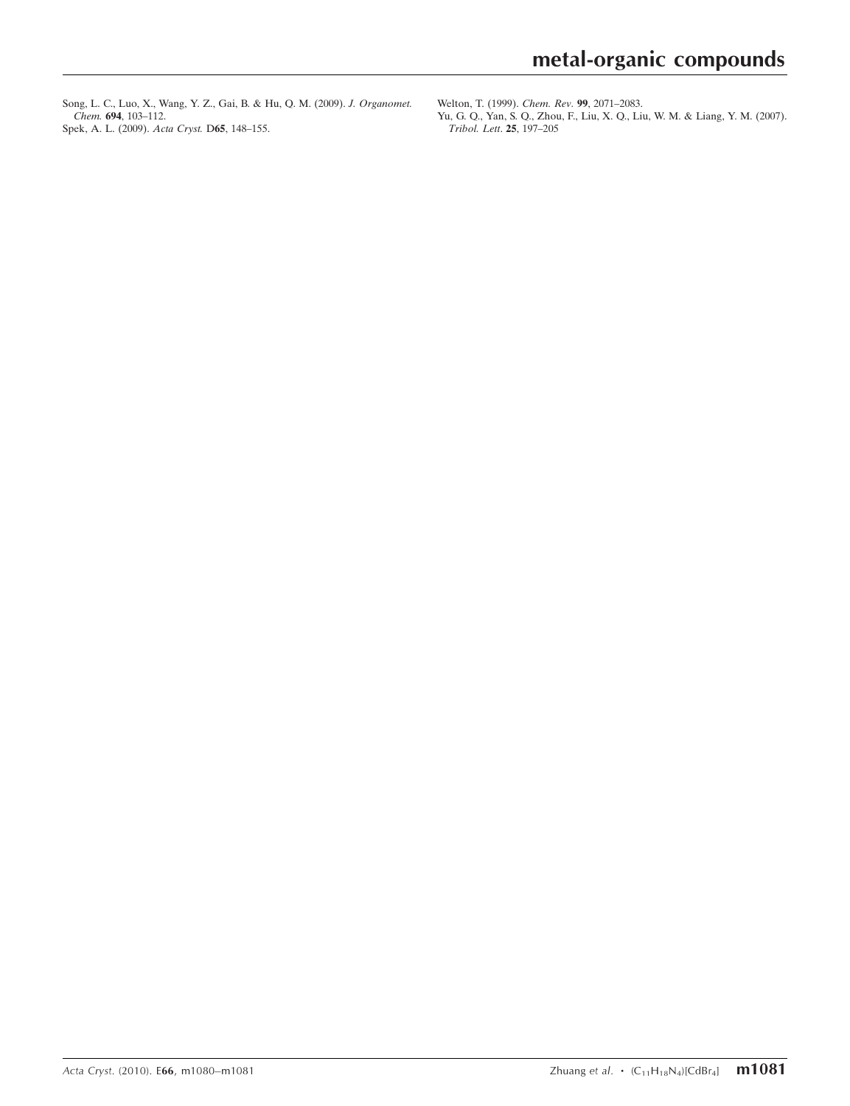[Song, L. C., Luo, X., Wang, Y. Z., Gai, B. & Hu, Q. M. \(2009\).](https://scripts.iucr.org/cgi-bin/cr.cgi?rm=pdfbb&cnor=dn2593&bbid=BB12) J. Organomet. Chem. 694[, 103–112.](https://scripts.iucr.org/cgi-bin/cr.cgi?rm=pdfbb&cnor=dn2593&bbid=BB12) [Spek, A. L. \(2009\).](https://scripts.iucr.org/cgi-bin/cr.cgi?rm=pdfbb&cnor=dn2593&bbid=BB13) Acta Cryst. D65, 148–155.

[Welton, T. \(1999\).](https://scripts.iucr.org/cgi-bin/cr.cgi?rm=pdfbb&cnor=dn2593&bbid=BB14) Chem. Rev. 99, 2071–2083.

[Yu, G. Q., Yan, S. Q., Zhou, F., Liu, X. Q., Liu, W. M. & Liang, Y. M. \(2007\).](https://scripts.iucr.org/cgi-bin/cr.cgi?rm=pdfbb&cnor=dn2593&bbid=BB15) [Tribol. Lett](https://scripts.iucr.org/cgi-bin/cr.cgi?rm=pdfbb&cnor=dn2593&bbid=BB15). 25, 197–205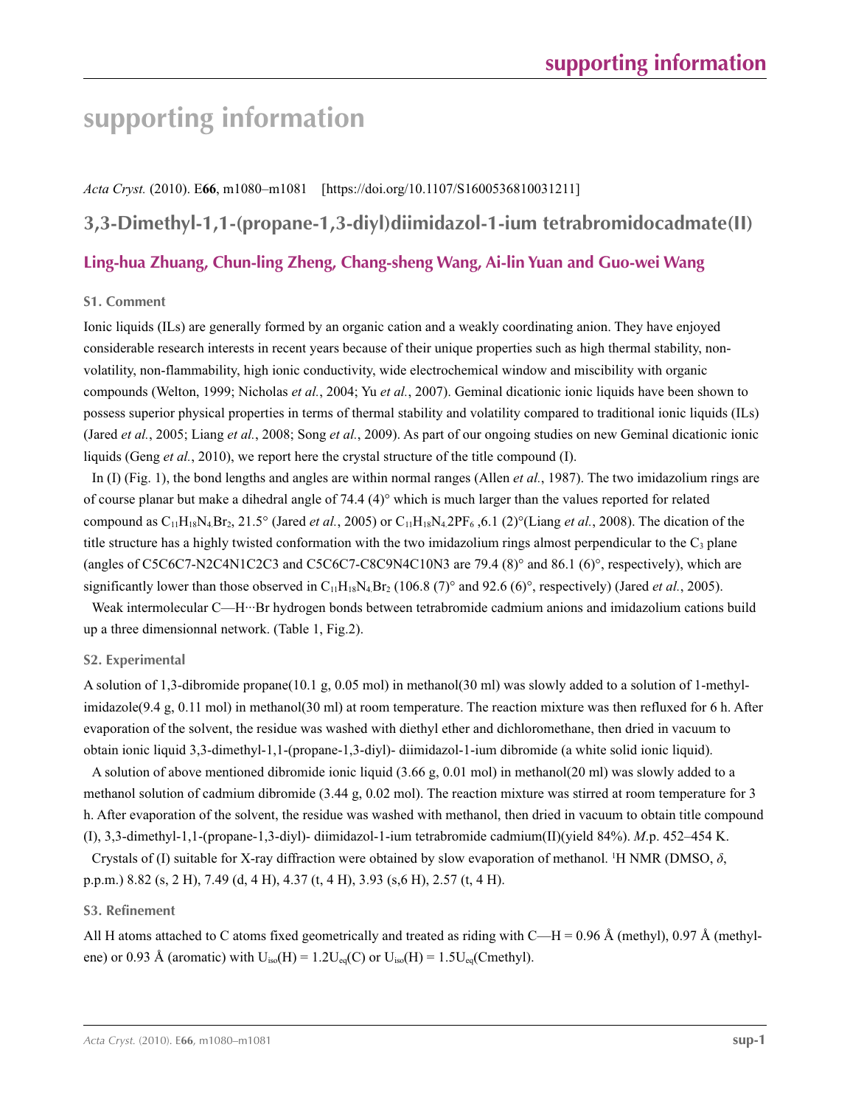# **supporting information**

*Acta Cryst.* (2010). E**66**, m1080–m1081 [https://doi.org/10.1107/S1600536810031211]

**3,3-Dimethyl-1,1-(propane-1,3-diyl)diimidazol-1-ium tetrabromidocadmate(II)**

## **Ling-hua Zhuang, Chun-ling Zheng, Chang-sheng Wang, Ai-lin Yuan and Guo-wei Wang**

#### **S1. Comment**

Ionic liquids (ILs) are generally formed by an organic cation and a weakly coordinating anion. They have enjoyed considerable research interests in recent years because of their unique properties such as high thermal stability, nonvolatility, non-flammability, high ionic conductivity, wide electrochemical window and miscibility with organic compounds (Welton, 1999; Nicholas *et al.*, 2004; Yu *et al.*, 2007). Geminal dicationic ionic liquids have been shown to possess superior physical properties in terms of thermal stability and volatility compared to traditional ionic liquids (ILs) (Jared *et al.*, 2005; Liang *et al.*, 2008; Song *et al.*, 2009). As part of our ongoing studies on new Geminal dicationic ionic liquids (Geng *et al.*, 2010), we report here the crystal structure of the title compound (I).

In (I) (Fig. 1), the bond lengths and angles are within normal ranges (Allen *et al.*, 1987). The two imidazolium rings are of course planar but make a dihedral angle of 74.4 (4)° which is much larger than the values reported for related compound as  $C_{11}H_{18}N_4Br_2$ , 21.5° (Jared *et al.*, 2005) or  $C_{11}H_{18}N_4$  2PF<sub>6</sub>, 6.1 (2)°(Liang *et al.*, 2008). The dication of the title structure has a highly twisted conformation with the two imidazolium rings almost perpendicular to the  $C_3$  plane (angles of C5C6C7-N2C4N1C2C3 and C5C6C7-C8C9N4C10N3 are 79.4 (8)° and 86.1 (6)°, respectively), which are significantly lower than those observed in  $C_{11}H_{18}N_4Br_2$  (106.8 (7)° and 92.6 (6)°, respectively) (Jared *et al.*, 2005).

Weak intermolecular C—H···Br hydrogen bonds between tetrabromide cadmium anions and imidazolium cations build up a three dimensionnal network. (Table 1, Fig.2).

### **S2. Experimental**

A solution of 1,3-dibromide propane(10.1 g, 0.05 mol) in methanol(30 ml) was slowly added to a solution of 1-methylimidazole(9.4 g, 0.11 mol) in methanol(30 ml) at room temperature. The reaction mixture was then refluxed for 6 h. After evaporation of the solvent, the residue was washed with diethyl ether and dichloromethane, then dried in vacuum to obtain ionic liquid 3,3-dimethyl-1,1-(propane-1,3-diyl)- diimidazol-1-ium dibromide (a white solid ionic liquid).

A solution of above mentioned dibromide ionic liquid (3.66 g, 0.01 mol) in methanol(20 ml) was slowly added to a methanol solution of cadmium dibromide (3.44 g, 0.02 mol). The reaction mixture was stirred at room temperature for 3 h. After evaporation of the solvent, the residue was washed with methanol, then dried in vacuum to obtain title compound (I), 3,3-dimethyl-1,1-(propane-1,3-diyl)- diimidazol-1-ium tetrabromide cadmium(II)(yield 84%). *M*.p. 452–454 K.

Crystals of (I) suitable for X-ray diffraction were obtained by slow evaporation of methanol. <sup>1</sup>H NMR (DMSO,  $\delta$ , p.p.m.) 8.82 (s, 2 H), 7.49 (d, 4 H), 4.37 (t, 4 H), 3.93 (s,6 H), 2.57 (t, 4 H).

#### **S3. Refinement**

All H atoms attached to C atoms fixed geometrically and treated as riding with  $C-H = 0.96 \text{ Å}$  (methyl), 0.97 Å (methylene) or 0.93 Å (aromatic) with  $U_{iso}(H) = 1.2U_{eq}(C)$  or  $U_{iso}(H) = 1.5U_{eq}(C$ methyl).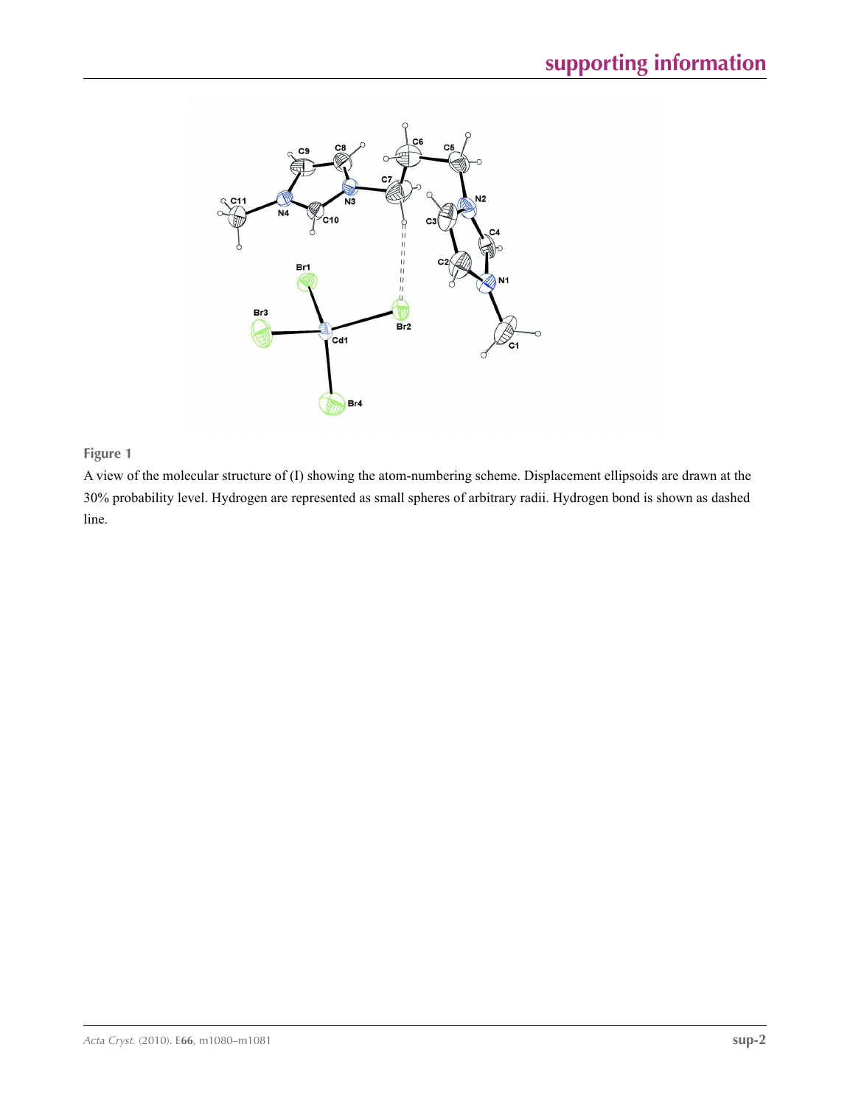

## **Figure 1**

A view of the molecular structure of (I) showing the atom-numbering scheme. Displacement ellipsoids are drawn at the 30% probability level. Hydrogen are represented as small spheres of arbitrary radii. Hydrogen bond is shown as dashed line.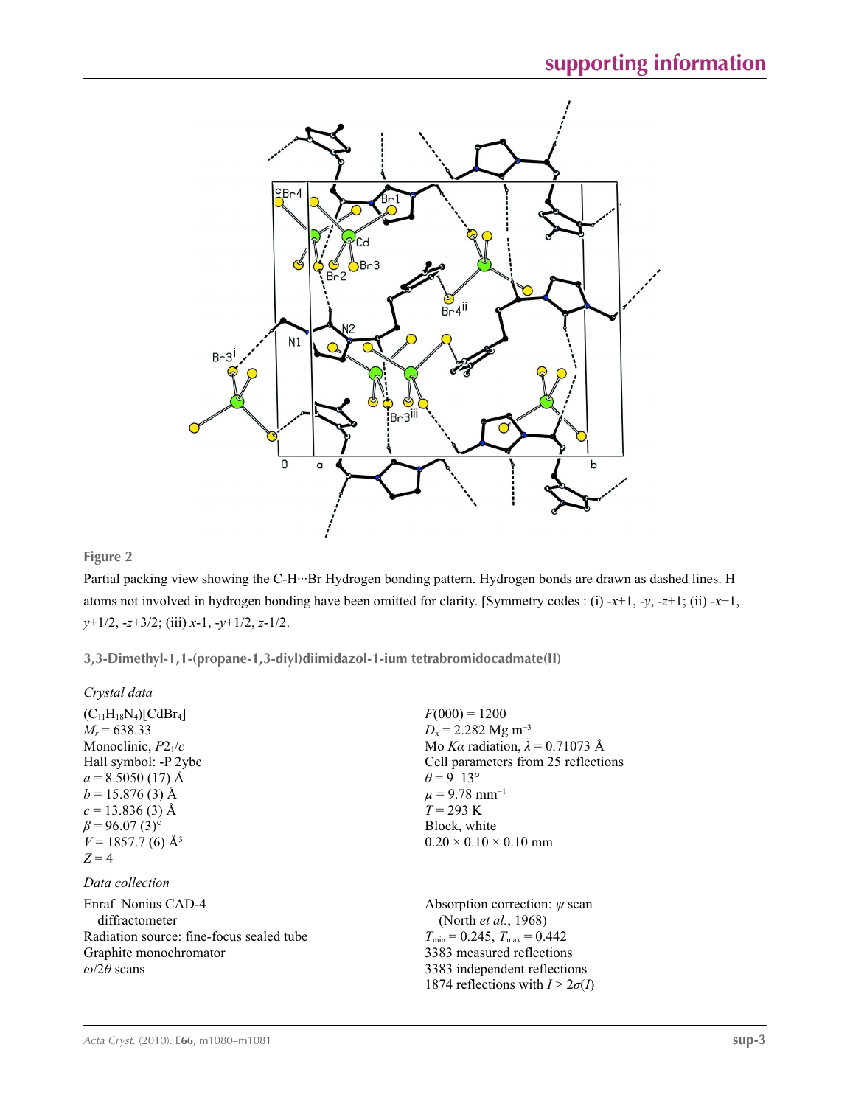

## **Figure 2**

Partial packing view showing the C-H···Br Hydrogen bonding pattern. Hydrogen bonds are drawn as dashed lines. H atoms not involved in hydrogen bonding have been omitted for clarity. [Symmetry codes : (i) -*x*+1, -*y*, -*z*+1; (ii) -*x*+1, *y*+1/2, -*z*+3/2; (iii) *x*-1, -*y*+1/2, *z*-1/2.

**3,3-Dimethyl-1,1-(propane-1,3-diyl)diimidazol-1-ium tetrabromidocadmate(II)** 

*Crystal data*

| $(C_{11}H_{18}N_4)[CdBr_4]$<br>$M_r = 638.33$<br>Monoclinic, $P2_1/c$<br>Hall symbol: -P 2ybc<br>$a = 8.5050(17)$ Å<br>$b = 15.876(3)$ Å<br>$c = 13.836(3)$ Å<br>$\beta$ = 96.07 (3) <sup>o</sup><br>$V = 1857.7$ (6) Å <sup>3</sup><br>$Z=4$ | $F(000) = 1200$<br>$D_x = 2.282$ Mg m <sup>-3</sup><br>Mo Ka radiation, $\lambda = 0.71073$ Å<br>Cell parameters from 25 reflections<br>$\theta$ = 9–13°<br>$\mu$ = 9.78 mm <sup>-1</sup><br>$T = 293 \text{ K}$<br>Block, white<br>$0.20 \times 0.10 \times 0.10$ mm |
|-----------------------------------------------------------------------------------------------------------------------------------------------------------------------------------------------------------------------------------------------|-----------------------------------------------------------------------------------------------------------------------------------------------------------------------------------------------------------------------------------------------------------------------|
| Data collection                                                                                                                                                                                                                               |                                                                                                                                                                                                                                                                       |
| Enraf-Nonius CAD-4<br>diffractometer<br>Radiation source: fine-focus sealed tube<br>Graphite monochromator<br>$\omega/2\theta$ scans                                                                                                          | Absorption correction: $\psi$ scan<br>(North <i>et al.</i> , 1968)<br>$T_{\min} = 0.245$ , $T_{\max} = 0.442$<br>3383 measured reflections<br>3383 independent reflections<br>1874 reflections with $I > 2\sigma(I)$                                                  |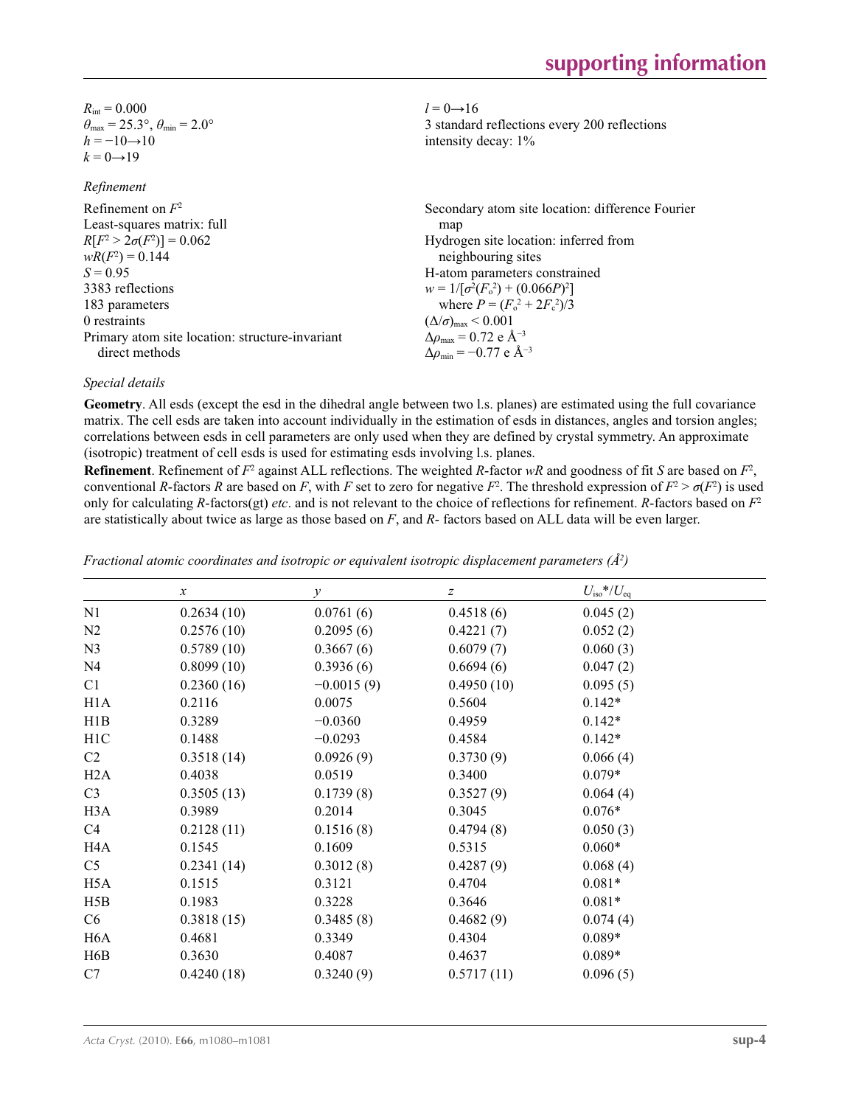$R_{\text{int}} = 0.000$  $\theta_{\text{max}} = 25.3^{\circ}, \theta_{\text{min}} = 2.0^{\circ}$  $h = -10 \rightarrow 10$  $k = 0 \rightarrow 19$ 

*Refinement*

Refinement on *F*<sup>2</sup> Least-squares matrix: full  $R[F^2 > 2\sigma(F^2)] = 0.062$  $wR(F^2) = 0.144$  $S = 0.95$ 3383 reflections 183 parameters 0 restraints Primary atom site location: structure-invariant direct methods Secondary atom site location: difference Fourier map Hydrogen site location: inferred from neighbouring sites H-atom parameters constrained  $w = 1/[\sigma^2 (F_o^2) + (0.066P)^2]$ where  $P = (F_o^2 + 2F_c^2)/3$  $(\Delta/\sigma)_{\text{max}}$  < 0.001  $\Delta\rho_{\text{max}} = 0.72$  e Å<sup>-3</sup>  $\Delta \rho_{\text{min}} = -0.77 \text{ e } \text{\AA}^{-3}$ 

#### *Special details*

**Geometry**. All esds (except the esd in the dihedral angle between two l.s. planes) are estimated using the full covariance matrix. The cell esds are taken into account individually in the estimation of esds in distances, angles and torsion angles; correlations between esds in cell parameters are only used when they are defined by crystal symmetry. An approximate (isotropic) treatment of cell esds is used for estimating esds involving l.s. planes.

 $l = 0 \rightarrow 16$ 

intensity decay: 1%

3 standard reflections every 200 reflections

**Refinement**. Refinement of  $F^2$  against ALL reflections. The weighted *R*-factor  $wR$  and goodness of fit *S* are based on  $F^2$ , conventional *R*-factors *R* are based on *F*, with *F* set to zero for negative  $F^2$ . The threshold expression of  $F^2 > \sigma(F^2)$  is used only for calculating *R*-factors(gt) *etc*. and is not relevant to the choice of reflections for refinement. *R*-factors based on *F*<sup>2</sup> are statistically about twice as large as those based on *F*, and *R*- factors based on ALL data will be even larger.

|                  | $\boldsymbol{\chi}$ | $\mathcal{Y}$ | $\boldsymbol{Z}$ | $U_{\rm iso}$ */ $U_{\rm eq}$ |  |
|------------------|---------------------|---------------|------------------|-------------------------------|--|
| N1               | 0.2634(10)          | 0.0761(6)     | 0.4518(6)        | 0.045(2)                      |  |
| N2               | 0.2576(10)          | 0.2095(6)     | 0.4221(7)        | 0.052(2)                      |  |
| N <sub>3</sub>   | 0.5789(10)          | 0.3667(6)     | 0.6079(7)        | 0.060(3)                      |  |
| N4               | 0.8099(10)          | 0.3936(6)     | 0.6694(6)        | 0.047(2)                      |  |
| C1               | 0.2360(16)          | $-0.0015(9)$  | 0.4950(10)       | 0.095(5)                      |  |
| H1A              | 0.2116              | 0.0075        | 0.5604           | $0.142*$                      |  |
| H1B              | 0.3289              | $-0.0360$     | 0.4959           | $0.142*$                      |  |
| H1C              | 0.1488              | $-0.0293$     | 0.4584           | $0.142*$                      |  |
| C <sub>2</sub>   | 0.3518(14)          | 0.0926(9)     | 0.3730(9)        | 0.066(4)                      |  |
| H2A              | 0.4038              | 0.0519        | 0.3400           | $0.079*$                      |  |
| C <sub>3</sub>   | 0.3505(13)          | 0.1739(8)     | 0.3527(9)        | 0.064(4)                      |  |
| H <sub>3</sub> A | 0.3989              | 0.2014        | 0.3045           | $0.076*$                      |  |
| C4               | 0.2128(11)          | 0.1516(8)     | 0.4794(8)        | 0.050(3)                      |  |
| H4A              | 0.1545              | 0.1609        | 0.5315           | $0.060*$                      |  |
| C <sub>5</sub>   | 0.2341(14)          | 0.3012(8)     | 0.4287(9)        | 0.068(4)                      |  |
| H <sub>5</sub> A | 0.1515              | 0.3121        | 0.4704           | $0.081*$                      |  |
| H5B              | 0.1983              | 0.3228        | 0.3646           | $0.081*$                      |  |
| C6               | 0.3818(15)          | 0.3485(8)     | 0.4682(9)        | 0.074(4)                      |  |
| H <sub>6</sub> A | 0.4681              | 0.3349        | 0.4304           | $0.089*$                      |  |
| H <sub>6</sub> B | 0.3630              | 0.4087        | 0.4637           | $0.089*$                      |  |
| C7               | 0.4240(18)          | 0.3240(9)     | 0.5717(11)       | 0.096(5)                      |  |
|                  |                     |               |                  |                               |  |

*Fractional atomic coordinates and isotropic or equivalent isotropic displacement parameters (Å<sup>2</sup>)*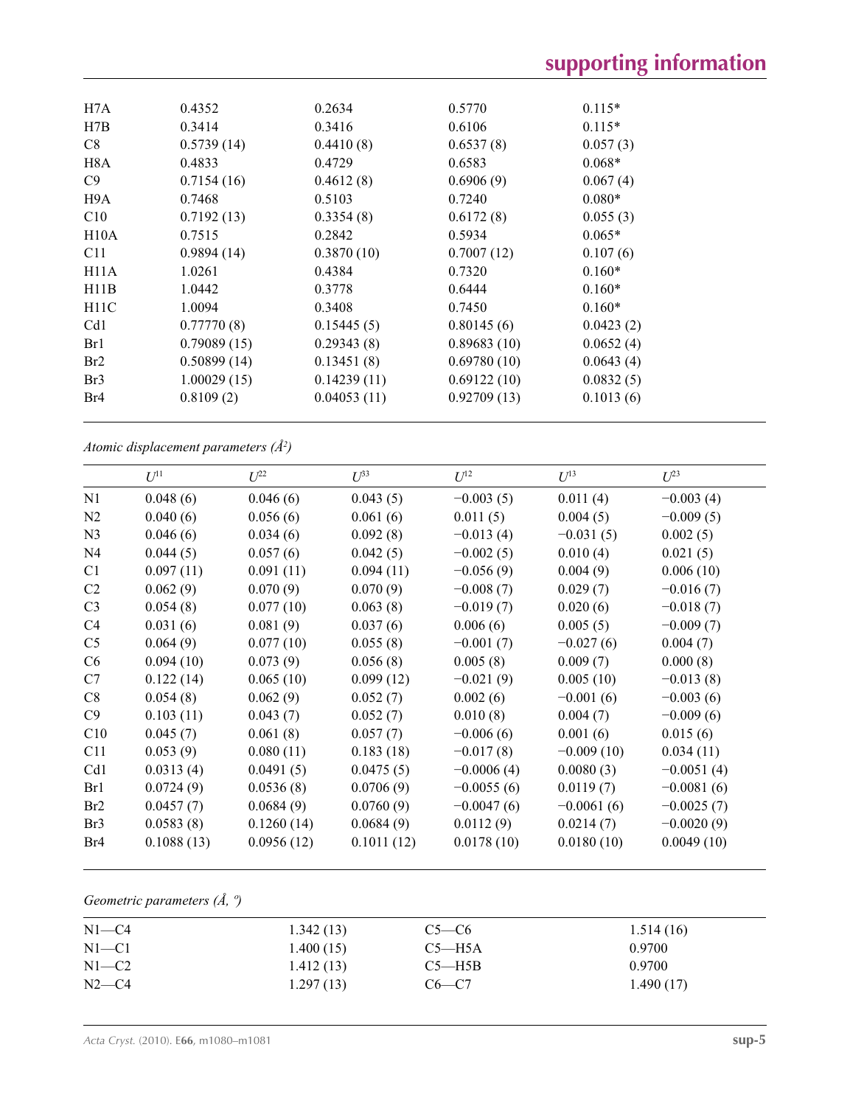| H7A             | 0.4352      | 0.2634      | 0.5770      | $0.115*$  |
|-----------------|-------------|-------------|-------------|-----------|
| H7B             | 0.3414      | 0.3416      | 0.6106      | $0.115*$  |
| C8              | 0.5739(14)  | 0.4410(8)   | 0.6537(8)   | 0.057(3)  |
| H8A             | 0.4833      | 0.4729      | 0.6583      | $0.068*$  |
| C9              | 0.7154(16)  | 0.4612(8)   | 0.6906(9)   | 0.067(4)  |
| H9A             | 0.7468      | 0.5103      | 0.7240      | $0.080*$  |
| C10             | 0.7192(13)  | 0.3354(8)   | 0.6172(8)   | 0.055(3)  |
| H10A            | 0.7515      | 0.2842      | 0.5934      | $0.065*$  |
| C <sub>11</sub> | 0.9894(14)  | 0.3870(10)  | 0.7007(12)  | 0.107(6)  |
| H11A            | 1.0261      | 0.4384      | 0.7320      | $0.160*$  |
| H11B            | 1.0442      | 0.3778      | 0.6444      | $0.160*$  |
| H11C            | 1.0094      | 0.3408      | 0.7450      | $0.160*$  |
| Cd1             | 0.77770(8)  | 0.15445(5)  | 0.80145(6)  | 0.0423(2) |
| Br1             | 0.79089(15) | 0.29343(8)  | 0.89683(10) | 0.0652(4) |
| Br2             | 0.50899(14) | 0.13451(8)  | 0.69780(10) | 0.0643(4) |
| Br <sub>3</sub> | 1.00029(15) | 0.14239(11) | 0.69122(10) | 0.0832(5) |
| Br <sub>4</sub> | 0.8109(2)   | 0.04053(11) | 0.92709(13) | 0.1013(6) |
|                 |             |             |             |           |

*Atomic displacement parameters (Å2 )*

|                 | $U^{11}$   | $L^{22}$   | $U^{33}$   | $U^{12}$     | $U^{13}$     | $U^{23}$     |
|-----------------|------------|------------|------------|--------------|--------------|--------------|
| N1              | 0.048(6)   | 0.046(6)   | 0.043(5)   | $-0.003(5)$  | 0.011(4)     | $-0.003(4)$  |
| N2              | 0.040(6)   | 0.056(6)   | 0.061(6)   | 0.011(5)     | 0.004(5)     | $-0.009(5)$  |
| N <sub>3</sub>  | 0.046(6)   | 0.034(6)   | 0.092(8)   | $-0.013(4)$  | $-0.031(5)$  | 0.002(5)     |
| N <sub>4</sub>  | 0.044(5)   | 0.057(6)   | 0.042(5)   | $-0.002(5)$  | 0.010(4)     | 0.021(5)     |
| C <sub>1</sub>  | 0.097(11)  | 0.091(11)  | 0.094(11)  | $-0.056(9)$  | 0.004(9)     | 0.006(10)    |
| C <sub>2</sub>  | 0.062(9)   | 0.070(9)   | 0.070(9)   | $-0.008(7)$  | 0.029(7)     | $-0.016(7)$  |
| C <sub>3</sub>  | 0.054(8)   | 0.077(10)  | 0.063(8)   | $-0.019(7)$  | 0.020(6)     | $-0.018(7)$  |
| C <sub>4</sub>  | 0.031(6)   | 0.081(9)   | 0.037(6)   | 0.006(6)     | 0.005(5)     | $-0.009(7)$  |
| C <sub>5</sub>  | 0.064(9)   | 0.077(10)  | 0.055(8)   | $-0.001(7)$  | $-0.027(6)$  | 0.004(7)     |
| C6              | 0.094(10)  | 0.073(9)   | 0.056(8)   | 0.005(8)     | 0.009(7)     | 0.000(8)     |
| C7              | 0.122(14)  | 0.065(10)  | 0.099(12)  | $-0.021(9)$  | 0.005(10)    | $-0.013(8)$  |
| C8              | 0.054(8)   | 0.062(9)   | 0.052(7)   | 0.002(6)     | $-0.001(6)$  | $-0.003(6)$  |
| C9              | 0.103(11)  | 0.043(7)   | 0.052(7)   | 0.010(8)     | 0.004(7)     | $-0.009(6)$  |
| C10             | 0.045(7)   | 0.061(8)   | 0.057(7)   | $-0.006(6)$  | 0.001(6)     | 0.015(6)     |
| C11             | 0.053(9)   | 0.080(11)  | 0.183(18)  | $-0.017(8)$  | $-0.009(10)$ | 0.034(11)    |
| Cd1             | 0.0313(4)  | 0.0491(5)  | 0.0475(5)  | $-0.0006(4)$ | 0.0080(3)    | $-0.0051(4)$ |
| Br1             | 0.0724(9)  | 0.0536(8)  | 0.0706(9)  | $-0.0055(6)$ | 0.0119(7)    | $-0.0081(6)$ |
| Br2             | 0.0457(7)  | 0.0684(9)  | 0.0760(9)  | $-0.0047(6)$ | $-0.0061(6)$ | $-0.0025(7)$ |
| Br <sub>3</sub> | 0.0583(8)  | 0.1260(14) | 0.0684(9)  | 0.0112(9)    | 0.0214(7)    | $-0.0020(9)$ |
| Br4             | 0.1088(13) | 0.0956(12) | 0.1011(12) | 0.0178(10)   | 0.0180(10)   | 0.0049(10)   |
|                 |            |            |            |              |              |              |

## *Geometric parameters (Å, º)*

| $N1 - C4$ | 1.342(13) | $C5-C6$    | 1.514(16) |
|-----------|-----------|------------|-----------|
| $N1 - C1$ | 1.400(15) | $C5 - H5A$ | 0.9700    |
| $N1-C2$   | 1.412(13) | $C5 - H5B$ | 0.9700    |
| $N2-C4$   | 1.297(13) | $C6-C7$    | 1.490(17) |
|           |           |            |           |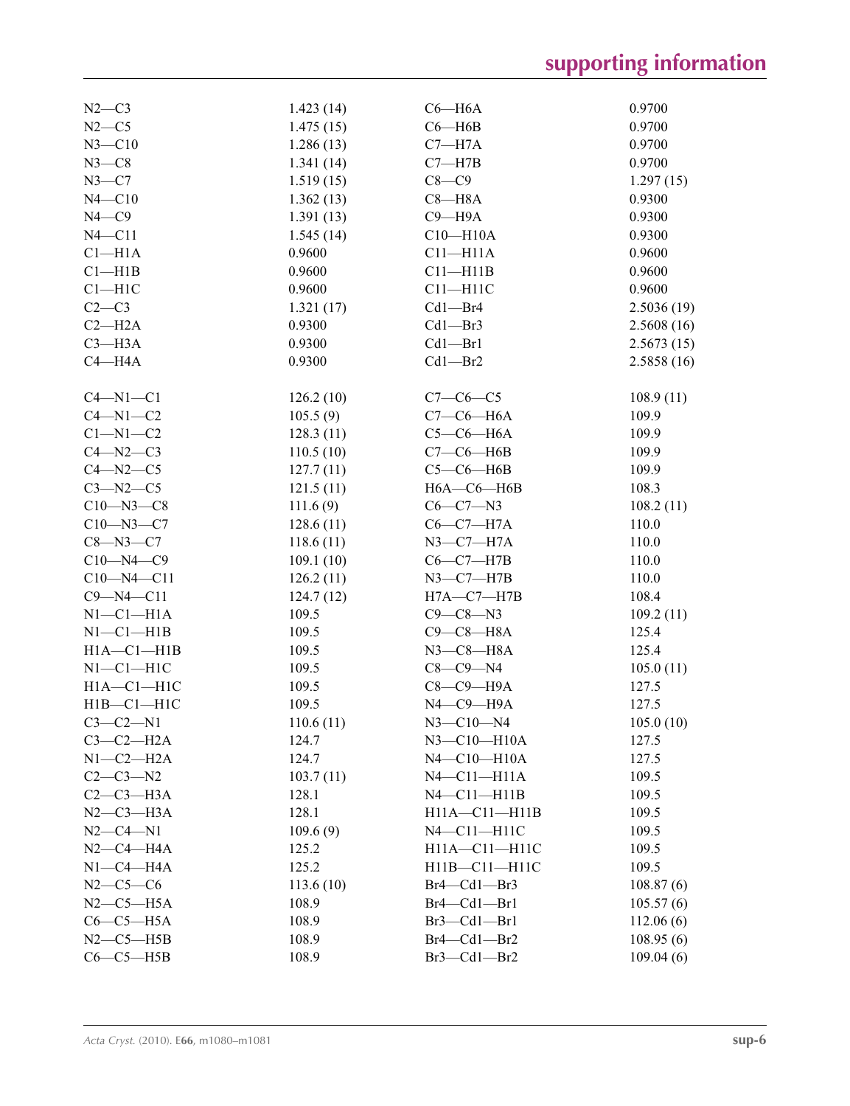| $N2-C3$             | 1.423(14) | $C6 - H6A$                  | 0.9700     |
|---------------------|-----------|-----------------------------|------------|
| $N2-C5$             | 1.475(15) | $C6 - H6B$                  | 0.9700     |
| $N3 - C10$          | 1.286(13) | $C7 - H7A$                  | 0.9700     |
| $N3-C8$             | 1.341(14) | $C7 - H7B$                  | 0.9700     |
| $N3-C7$             | 1.519(15) | $C8-C9$                     | 1.297(15)  |
| $N4 - C10$          | 1.362(13) | $C8 - H8A$                  | 0.9300     |
| $N4$ —C $9$         | 1.391(13) | $C9 - H9A$                  | 0.9300     |
| $N4 - C11$          | 1.545(14) | $C10 - H10A$                | 0.9300     |
| $C1 - H1A$          | 0.9600    | $C11 - H11A$                | 0.9600     |
| $Cl$ -H1B           | 0.9600    | $C11 - H11B$                | 0.9600     |
| $C1 - H1C$          | 0.9600    | $C11 - H11C$                | 0.9600     |
| $C2-C3$             | 1.321(17) | $Cd1 - Br4$                 | 2.5036(19) |
| $C2 - H2A$          | 0.9300    | $Cd1 - Br3$                 | 2.5608(16) |
| $C3 - H3A$          | 0.9300    | $Cd1 - Br1$                 | 2.5673(15) |
| $C4 - H4A$          | 0.9300    | $Cd1 - Br2$                 | 2.5858(16) |
|                     |           |                             |            |
| $C4 - N1 - C1$      | 126.2(10) | $C7-C6-C5$                  | 108.9(11)  |
| $C4 - N1 - C2$      | 105.5(9)  | $C7-C6-H6A$                 | 109.9      |
| $C1 - N1 - C2$      | 128.3(11) | $C5-C6-H6A$                 | 109.9      |
| $C4 - N2 - C3$      | 110.5(10) | $C7-C6$ -H6B                | 109.9      |
| $C4 - N2 - C5$      | 127.7(11) | $C5-C6-H6B$                 | 109.9      |
| $C3 - N2 - C5$      | 121.5(11) | $H6A - C6 - H6B$            | 108.3      |
| $C10 - N3 - C8$     | 111.6(9)  | $C6 - C7 - N3$              | 108.2(11)  |
| $C10 - N3 - C7$     | 128.6(11) | $C6-C7-H7A$                 | 110.0      |
| $C8 - N3 - C7$      | 118.6(11) | $N3$ –C7–H7A                | 110.0      |
| $C10 - N4 - C9$     | 109.1(10) | $C6-C7-H7B$                 | 110.0      |
| $C10 - N4 - C11$    | 126.2(11) | $N3-C7-H7B$                 | 110.0      |
| $C9 - N4 - C11$     | 124.7(12) | $H7A - C7 - H7B$            | 108.4      |
| $N1-C1-H1A$         | 109.5     | $C9 - C8 - N3$              | 109.2(11)  |
| $N1-C1-H1B$         | 109.5     | $C9-C8-H8A$                 | 125.4      |
| $H1A - C1 - H1B$    | 109.5     | $N3$ – $C8$ – $H8A$         | 125.4      |
| $N1-C1-H1C$         | 109.5     | $C8-C9-N4$                  | 105.0(11)  |
| $H1A - C1 - H1C$    | 109.5     | $C8-C9-H9A$                 | 127.5      |
| $H1B - C1 - H1C$    | 109.5     | $N4$ -C9 -H9A               | 127.5      |
| $C3-C2-N1$          | 110.6(11) | $N3 - C10 - N4$             | 105.0(10)  |
| $C3-C2-H2A$         | 124.7     | N3-C10-H10A                 | 127.5      |
| $N1-C2-H2A$         | 124.7     | $N4 - C10 - H10A$           | 127.5      |
| $C2 - C3 - N2$      | 103.7(11) | $N4$ $-$ C $11$ $-$ H $11A$ | 109.5      |
| $C2-C3-H3A$         | 128.1     | $N4$ – $C11$ – $H11B$       | 109.5      |
| $N2-C3-H3A$         | 128.1     | $H11A - C11 - H11B$         | 109.5      |
| $N2 - C4 - N1$      |           |                             |            |
| $N2-C4-H4A$         | 109.6(9)  | $N4$ $-$ C11 $-$ H11C       | 109.5      |
|                     | 125.2     | $H11A - C11 - H11C$         | 109.5      |
| $N1-C4-H4A$         | 125.2     | $H11B - C11 - H11C$         | 109.5      |
| $N2 - C5 - C6$      | 113.6(10) | Br4—Cd1—Br3                 | 108.87(6)  |
| $N2$ — $C5$ — $H5A$ | 108.9     | $Br4$ – $Cd1$ – $Br1$       | 105.57(6)  |
| $C6-C5-H5A$         | 108.9     | Br3—Cd1—Br1                 | 112.06(6)  |
| $N2$ – $C5$ – $H5B$ | 108.9     | $Br4$ – $Cd1$ – $Br2$       | 108.95(6)  |
| $C6-C5-HSB$         | 108.9     | $Br3 - Cd1 - Br2$           | 109.04(6)  |